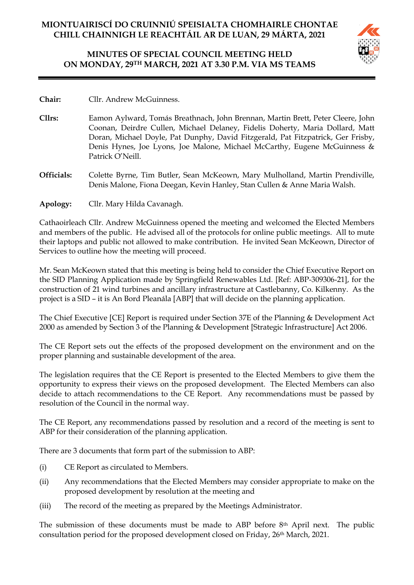# **MINUTES OF SPECIAL COUNCIL MEETING HELD ON MONDAY, 29TH MARCH, 2021 AT 3.30 P.M. VIA MS TEAMS**



- **Chair:** Cllr. Andrew McGuinness.
- **Cllrs:** Eamon Aylward, Tomás Breathnach, John Brennan, Martin Brett, Peter Cleere, John Coonan, Deirdre Cullen, Michael Delaney, Fidelis Doherty, Maria Dollard, Matt Doran, Michael Doyle, Pat Dunphy, David Fitzgerald, Pat Fitzpatrick, Ger Frisby, Denis Hynes, Joe Lyons, Joe Malone, Michael McCarthy, Eugene McGuinness & Patrick O'Neill.
- **Officials:** Colette Byrne, Tim Butler, Sean McKeown, Mary Mulholland, Martin Prendiville, Denis Malone, Fiona Deegan, Kevin Hanley, Stan Cullen & Anne Maria Walsh.
- **Apology:** Cllr. Mary Hilda Cavanagh.

Cathaoirleach Cllr. Andrew McGuinness opened the meeting and welcomed the Elected Members and members of the public. He advised all of the protocols for online public meetings. All to mute their laptops and public not allowed to make contribution. He invited Sean McKeown, Director of Services to outline how the meeting will proceed.

Mr. Sean McKeown stated that this meeting is being held to consider the Chief Executive Report on the SID Planning Application made by Springfield Renewables Ltd. [Ref: ABP-309306-21], for the construction of 21 wind turbines and ancillary infrastructure at Castlebanny, Co. Kilkenny. As the project is a SID – it is An Bord Pleanála [ABP] that will decide on the planning application.

The Chief Executive [CE] Report is required under Section 37E of the Planning & Development Act 2000 as amended by Section 3 of the Planning & Development [Strategic Infrastructure] Act 2006.

The CE Report sets out the effects of the proposed development on the environment and on the proper planning and sustainable development of the area.

The legislation requires that the CE Report is presented to the Elected Members to give them the opportunity to express their views on the proposed development. The Elected Members can also decide to attach recommendations to the CE Report. Any recommendations must be passed by resolution of the Council in the normal way.

The CE Report, any recommendations passed by resolution and a record of the meeting is sent to ABP for their consideration of the planning application.

There are 3 documents that form part of the submission to ABP:

- (i) CE Report as circulated to Members.
- (ii) Any recommendations that the Elected Members may consider appropriate to make on the proposed development by resolution at the meeting and
- (iii) The record of the meeting as prepared by the Meetings Administrator.

The submission of these documents must be made to ABP before 8th April next. The public consultation period for the proposed development closed on Friday, 26th March, 2021.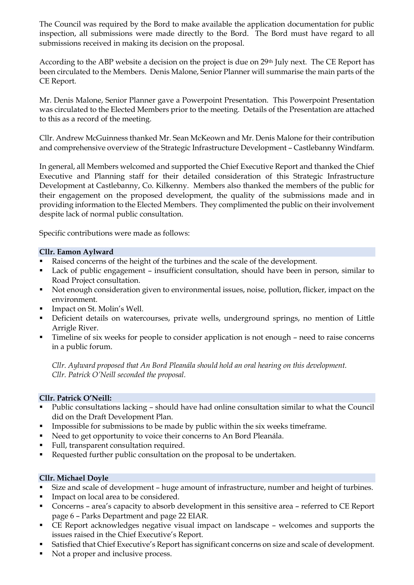The Council was required by the Bord to make available the application documentation for public inspection, all submissions were made directly to the Bord. The Bord must have regard to all submissions received in making its decision on the proposal.

According to the ABP website a decision on the project is due on 29th July next. The CE Report has been circulated to the Members. Denis Malone, Senior Planner will summarise the main parts of the CE Report.

Mr. Denis Malone, Senior Planner gave a Powerpoint Presentation. This Powerpoint Presentation was circulated to the Elected Members prior to the meeting. Details of the Presentation are attached to this as a record of the meeting.

Cllr. Andrew McGuinness thanked Mr. Sean McKeown and Mr. Denis Malone for their contribution and comprehensive overview of the Strategic Infrastructure Development – Castlebanny Windfarm.

In general, all Members welcomed and supported the Chief Executive Report and thanked the Chief Executive and Planning staff for their detailed consideration of this Strategic Infrastructure Development at Castlebanny, Co. Kilkenny. Members also thanked the members of the public for their engagement on the proposed development, the quality of the submissions made and in providing information to the Elected Members. They complimented the public on their involvement despite lack of normal public consultation.

Specific contributions were made as follows:

#### **Cllr. Eamon Aylward**

- Raised concerns of the height of the turbines and the scale of the development.
- Lack of public engagement insufficient consultation, should have been in person, similar to Road Project consultation.
- Not enough consideration given to environmental issues, noise, pollution, flicker, impact on the environment.
- **■** Impact on St. Molin's Well.
- Deficient details on watercourses, private wells, underground springs, no mention of Little Arrigle River.
- **·** Timeline of six weeks for people to consider application is not enough need to raise concerns in a public forum.

*Cllr. Aylward proposed that An Bord Pleanála should hold an oral hearing on this development. Cllr. Patrick O'Neill seconded the proposal.*

#### **Cllr. Patrick O'Neill:**

- Public consultations lacking should have had online consultation similar to what the Council did on the Draft Development Plan.
- **•** Impossible for submissions to be made by public within the six weeks timeframe.
- Need to get opportunity to voice their concerns to An Bord Pleanála.
- Full, transparent consultation required.
- Requested further public consultation on the proposal to be undertaken.

#### **Cllr. Michael Doyle**

- Size and scale of development huge amount of infrastructure, number and height of turbines.
- **•** Impact on local area to be considered.
- Concerns area's capacity to absorb development in this sensitive area referred to CE Report page 6 – Parks Department and page 22 EIAR.
- CE Report acknowledges negative visual impact on landscape welcomes and supports the issues raised in the Chief Executive's Report.
- Satisfied that Chief Executive's Report has significant concerns on size and scale of development.
- Not a proper and inclusive process.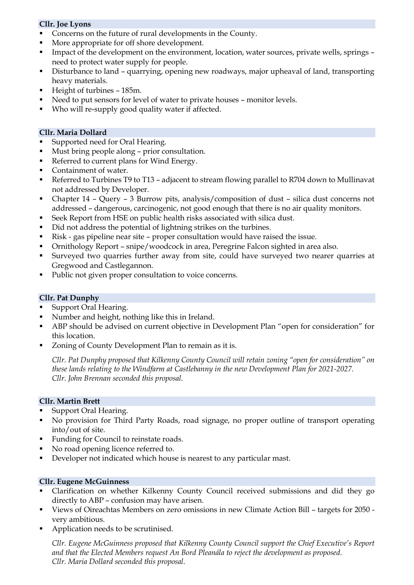## **Cllr. Joe Lyons**

- Concerns on the future of rural developments in the County.
- More appropriate for off shore development.
- **•** Impact of the development on the environment, location, water sources, private wells, springs need to protect water supply for people.
- Disturbance to land quarrying, opening new roadways, major upheaval of land, transporting heavy materials.
- Height of turbines 185m.
- Need to put sensors for level of water to private houses monitor levels.
- Who will re-supply good quality water if affected.

#### **Cllr. Maria Dollard**

- Supported need for Oral Hearing.
- Must bring people along prior consultation.
- Referred to current plans for Wind Energy.
- Containment of water.
- Referred to Turbines T9 to T13 adjacent to stream flowing parallel to R704 down to Mullinavat not addressed by Developer.
- Chapter 14 Query 3 Burrow pits, analysis/composition of dust silica dust concerns not addressed – dangerous, carcinogenic, not good enough that there is no air quality monitors.
- Seek Report from HSE on public health risks associated with silica dust.
- Did not address the potential of lightning strikes on the turbines.
- Risk gas pipeline near site proper consultation would have raised the issue.
- Ornithology Report snipe/woodcock in area, Peregrine Falcon sighted in area also.
- Surveyed two quarries further away from site, could have surveyed two nearer quarries at Gregwood and Castlegannon.
- Public not given proper consultation to voice concerns.

#### **Cllr. Pat Dunphy**

- Support Oral Hearing.
- Number and height, nothing like this in Ireland.
- ABP should be advised on current objective in Development Plan "open for consideration" for this location.
- Zoning of County Development Plan to remain as it is.

*Cllr. Pat Dunphy proposed that Kilkenny County Council will retain zoning "open for consideration" on these lands relating to the Windfarm at Castlebanny in the new Development Plan for 2021-2027. Cllr. John Brennan seconded this proposal.*

#### **Cllr. Martin Brett**

- Support Oral Hearing.
- No provision for Third Party Roads, road signage, no proper outline of transport operating into/out of site.
- Funding for Council to reinstate roads.
- No road opening licence referred to.
- Developer not indicated which house is nearest to any particular mast.

#### **Cllr. Eugene McGuinness**

- Clarification on whether Kilkenny County Council received submissions and did they go directly to ABP – confusion may have arisen.
- Views of Oireachtas Members on zero omissions in new Climate Action Bill targets for 2050 very ambitious.
- Application needs to be scrutinised.

*Cllr. Eugene McGuinness proposed that Kilkenny County Council support the Chief Executive's Report and that the Elected Members request An Bord Pleanála to reject the development as proposed. Cllr. Maria Dollard seconded this proposal.*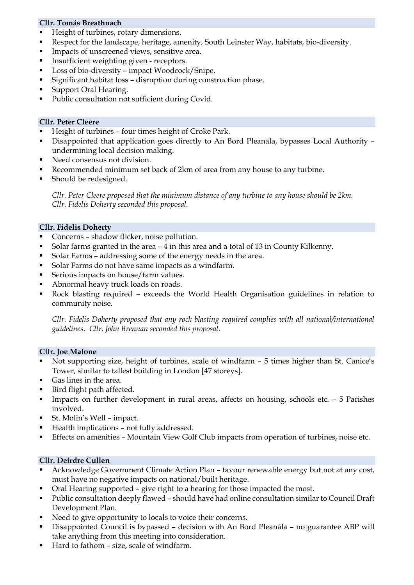## **Cllr. Tomás Breathnach**

- Height of turbines, rotary dimensions.
- Respect for the landscape, heritage, amenity, South Leinster Way, habitats, bio-diversity.
- **Impacts of unscreened views, sensitive area.**
- Insufficient weighting given receptors.
- Loss of bio-diversity impact Woodcock/Snipe.
- Significant habitat loss disruption during construction phase.
- Support Oral Hearing.
- Public consultation not sufficient during Covid.

#### **Cllr. Peter Cleere**

- Height of turbines four times height of Croke Park.
- Disappointed that application goes directly to An Bord Pleanála, bypasses Local Authority undermining local decision making.
- Need consensus not division.
- Recommended minimum set back of 2km of area from any house to any turbine.
- Should be redesigned.

*Cllr. Peter Cleere proposed that the minimum distance of any turbine to any house should be 2km. Cllr. Fidelis Doherty seconded this proposal.*

#### **Cllr. Fidelis Doherty**

- Concerns shadow flicker, noise pollution.
- Solar farms granted in the area 4 in this area and a total of 13 in County Kilkenny.
- Solar Farms addressing some of the energy needs in the area.
- Solar Farms do not have same impacts as a windfarm.
- Serious impacts on house/farm values.
- Abnormal heavy truck loads on roads.
- Rock blasting required exceeds the World Health Organisation guidelines in relation to community noise.

*Cllr. Fidelis Doherty proposed that any rock blasting required complies with all national/international guidelines. Cllr. John Brennan seconded this proposal.*

#### **Cllr. Joe Malone**

- Not supporting size, height of turbines, scale of windfarm 5 times higher than St. Canice's Tower, similar to tallest building in London [47 storeys].
- Gas lines in the area.
- Bird flight path affected.
- **•** Impacts on further development in rural areas, affects on housing, schools etc. 5 Parishes involved.
- St. Molin's Well impact.
- Health implications not fully addressed.
- Effects on amenities Mountain View Golf Club impacts from operation of turbines, noise etc.

#### **Cllr. Deirdre Cullen**

- Acknowledge Government Climate Action Plan favour renewable energy but not at any cost, must have no negative impacts on national/built heritage.
- Oral Hearing supported give right to a hearing for those impacted the most.
- Public consultation deeply flawed should have had online consultation similar to Council Draft Development Plan.
- Need to give opportunity to locals to voice their concerns.
- Disappointed Council is bypassed decision with An Bord Pleanála no guarantee ABP will take anything from this meeting into consideration.
- Hard to fathom size, scale of windfarm.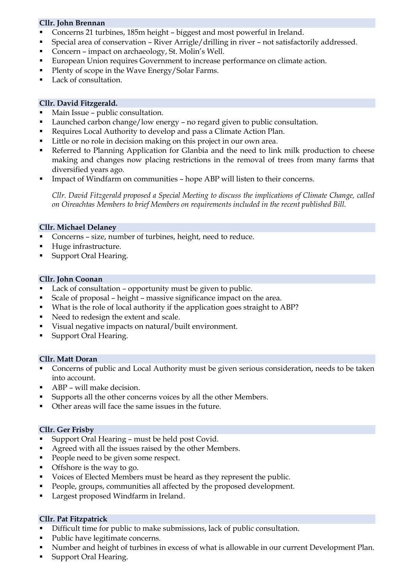## **Cllr. John Brennan**

- Concerns 21 turbines, 185m height biggest and most powerful in Ireland.
- Special area of conservation River Arrigle/drilling in river not satisfactorily addressed.
- Concern impact on archaeology, St. Molin's Well.
- **European Union requires Government to increase performance on climate action.**
- Plenty of scope in the Wave Energy/Solar Farms.
- Lack of consultation.

#### **Cllr. David Fitzgerald.**

- Main Issue public consultation.
- Launched carbon change/low energy no regard given to public consultation.
- Requires Local Authority to develop and pass a Climate Action Plan.
- Little or no role in decision making on this project in our own area.
- **•** Referred to Planning Application for Glanbia and the need to link milk production to cheese making and changes now placing restrictions in the removal of trees from many farms that diversified years ago.
- **•** Impact of Windfarm on communities hope ABP will listen to their concerns.

*Cllr. David Fitzgerald proposed a Special Meeting to discuss the implications of Climate Change, called on Oireachtas Members to brief Members on requirements included in the recent published Bill.*

#### **Cllr. Michael Delaney**

- Concerns size, number of turbines, height, need to reduce.
- Huge infrastructure.
- Support Oral Hearing.

#### **Cllr. John Coonan**

- Lack of consultation opportunity must be given to public.
- Scale of proposal height massive significance impact on the area.
- What is the role of local authority if the application goes straight to ABP?
- Need to redesign the extent and scale.
- Visual negative impacts on natural/built environment.
- Support Oral Hearing.

#### **Cllr. Matt Doran**

- Concerns of public and Local Authority must be given serious consideration, needs to be taken into account.
- ABP will make decision.
- Supports all the other concerns voices by all the other Members.
- Other areas will face the same issues in the future.

#### **Cllr. Ger Frisby**

- Support Oral Hearing must be held post Covid.
- Agreed with all the issues raised by the other Members.
- People need to be given some respect.
- Offshore is the way to go.
- Voices of Elected Members must be heard as they represent the public.
- People, groups, communities all affected by the proposed development.
- Largest proposed Windfarm in Ireland.

#### **Cllr. Pat Fitzpatrick**

- Difficult time for public to make submissions, lack of public consultation.
- Public have legitimate concerns.
- Number and height of turbines in excess of what is allowable in our current Development Plan.
- Support Oral Hearing.